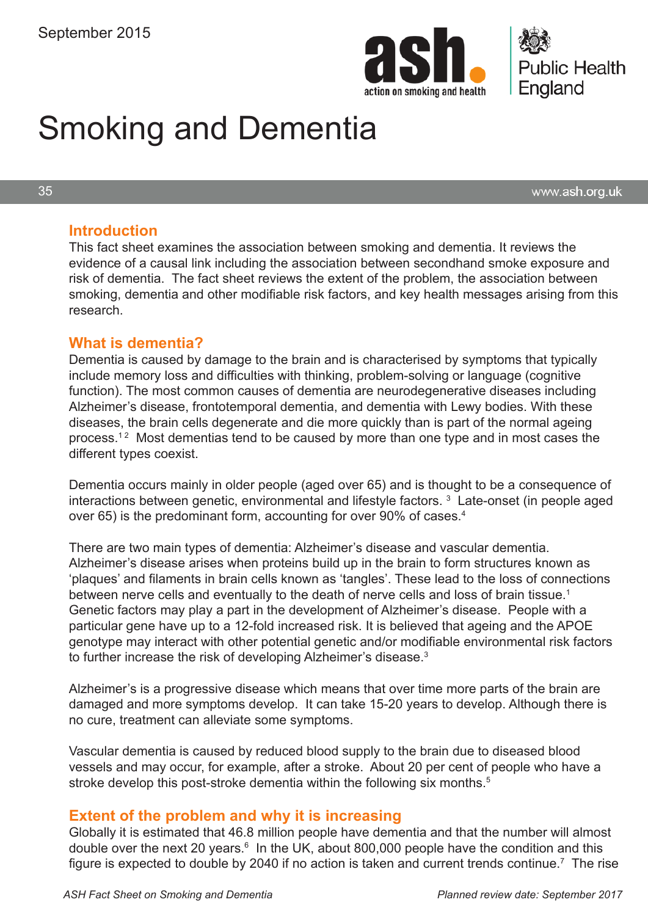



# Smoking and Dementia

35

www.ash.org.uk

#### **Introduction**

This fact sheet examines the association between smoking and dementia. It reviews the evidence of a causal link including the association between secondhand smoke exposure and risk of dementia. The fact sheet reviews the extent of the problem, the association between smoking, dementia and other modifiable risk factors, and key health messages arising from this research.

#### **What is dementia?**

Dementia is caused by damage to the brain and is characterised by symptoms that typically include memory loss and difficulties with thinking, problem-solving or language (cognitive function). The most common causes of dementia are neurodegenerative diseases including Alzheimer's disease, frontotemporal dementia, and dementia with Lewy bodies. With these diseases, the brain cells degenerate and die more quickly than is part of the normal ageing process.<sup>12</sup> Most dementias tend to be caused by more than one type and in most cases the different types coexist.

Dementia occurs mainly in older people (aged over 65) and is thought to be a consequence of interactions between genetic, environmental and lifestyle factors.<sup>3</sup> Late-onset (in people aged over 65) is the predominant form, accounting for over 90% of cases.<sup>4</sup>

There are two main types of dementia: Alzheimer's disease and vascular dementia. Alzheimer's disease arises when proteins build up in the brain to form structures known as 'plaques' and filaments in brain cells known as 'tangles'. These lead to the loss of connections between nerve cells and eventually to the death of nerve cells and loss of brain tissue.<sup>1</sup> Genetic factors may play a part in the development of Alzheimer's disease. People with a particular gene have up to a 12-fold increased risk. It is believed that ageing and the APOE genotype may interact with other potential genetic and/or modifiable environmental risk factors to further increase the risk of developing Alzheimer's disease. $^3$ 

Alzheimer's is a progressive disease which means that over time more parts of the brain are damaged and more symptoms develop. It can take 15-20 years to develop. Although there is no cure, treatment can alleviate some symptoms.

Vascular dementia is caused by reduced blood supply to the brain due to diseased blood vessels and may occur, for example, after a stroke. About 20 per cent of people who have a stroke develop this post-stroke dementia within the following six months.<sup>5</sup>

#### **Extent of the problem and why it is increasing**

Globally it is estimated that 46.8 million people have dementia and that the number will almost double over the next 20 years.<sup>6</sup> In the UK, about 800,000 people have the condition and this figure is expected to double by 2040 if no action is taken and current trends continue.<sup>7</sup> The rise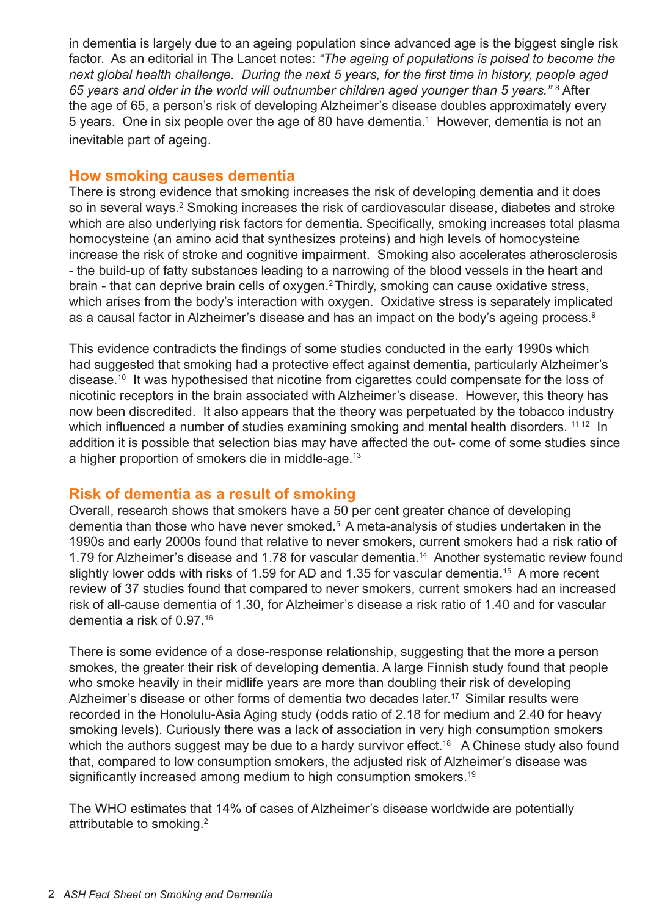in dementia is largely due to an ageing population since advanced age is the biggest single risk factor. As an editorial in The Lancet notes: *"The ageing of populations is poised to become the next global health challenge. During the next 5 years, for the first time in history, people aged*  65 years and older in the world will outnumber children aged younger than 5 years."<sup>8</sup> After the age of 65, a person's risk of developing Alzheimer's disease doubles approximately every 5 years. One in six people over the age of 80 have dementia.<sup>1</sup> However, dementia is not an inevitable part of ageing.

#### **How smoking causes dementia**

There is strong evidence that smoking increases the risk of developing dementia and it does so in several ways.<sup>2</sup> Smoking increases the risk of cardiovascular disease, diabetes and stroke which are also underlying risk factors for dementia. Specifically, smoking increases total plasma homocysteine (an amino acid that synthesizes proteins) and high levels of homocysteine increase the risk of stroke and cognitive impairment. Smoking also accelerates atherosclerosis - the build-up of fatty substances leading to a narrowing of the blood vessels in the heart and brain - that can deprive brain cells of oxygen.<sup>2</sup> Thirdly, smoking can cause oxidative stress, which arises from the body's interaction with oxygen. Oxidative stress is separately implicated as a causal factor in Alzheimer's disease and has an impact on the body's ageing process.<sup>9</sup>

This evidence contradicts the findings of some studies conducted in the early 1990s which had suggested that smoking had a protective effect against dementia, particularly Alzheimer's disease.<sup>10</sup> It was hypothesised that nicotine from cigarettes could compensate for the loss of nicotinic receptors in the brain associated with Alzheimer's disease. However, this theory has now been discredited. It also appears that the theory was perpetuated by the tobacco industry which influenced a number of studies examining smoking and mental health disorders. <sup>11 12</sup> In addition it is possible that selection bias may have affected the out- come of some studies since a higher proportion of smokers die in middle-age.<sup>13</sup>

## **Risk of dementia as a result of smoking**

Overall, research shows that smokers have a 50 per cent greater chance of developing dementia than those who have never smoked.<sup>5</sup> A meta-analysis of studies undertaken in the 1990s and early 2000s found that relative to never smokers, current smokers had a risk ratio of 1.79 for Alzheimer's disease and 1.78 for vascular dementia.14 Another systematic review found slightly lower odds with risks of 1.59 for AD and 1.35 for vascular dementia.<sup>15</sup> A more recent review of 37 studies found that compared to never smokers, current smokers had an increased risk of all-cause dementia of 1.30, for Alzheimer's disease a risk ratio of 1.40 and for vascular dementia a risk of 0.97.16

There is some evidence of a dose-response relationship, suggesting that the more a person smokes, the greater their risk of developing dementia. A large Finnish study found that people who smoke heavily in their midlife years are more than doubling their risk of developing Alzheimer's disease or other forms of dementia two decades later.<sup>17</sup> Similar results were recorded in the Honolulu-Asia Aging study (odds ratio of 2.18 for medium and 2.40 for heavy smoking levels). Curiously there was a lack of association in very high consumption smokers which the authors suggest may be due to a hardy survivor effect.<sup>18</sup> A Chinese study also found that, compared to low consumption smokers, the adjusted risk of Alzheimer's disease was significantly increased among medium to high consumption smokers.<sup>19</sup>

The WHO estimates that 14% of cases of Alzheimer's disease worldwide are potentially attributable to smoking.2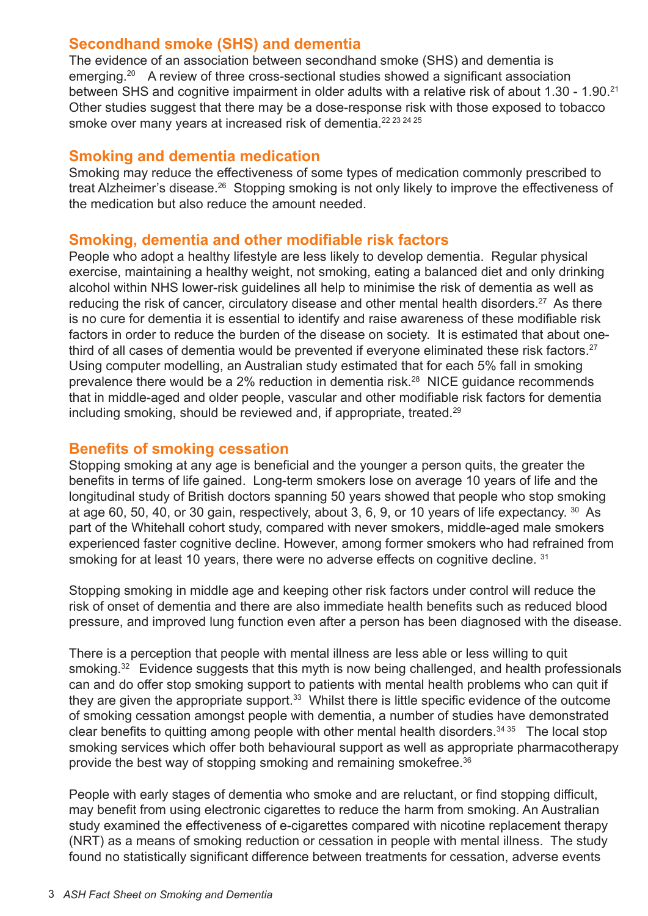## **Secondhand smoke (SHS) and dementia**

The evidence of an association between secondhand smoke (SHS) and dementia is emerging.<sup>20</sup> A review of three cross-sectional studies showed a significant association between SHS and cognitive impairment in older adults with a relative risk of about 1.30 - 1.90.<sup>21</sup> Other studies suggest that there may be a dose-response risk with those exposed to tobacco smoke over many years at increased risk of dementia.<sup>22 23 24 25</sup>

#### **Smoking and dementia medication**

Smoking may reduce the effectiveness of some types of medication commonly prescribed to treat Alzheimer's disease.<sup>26</sup> Stopping smoking is not only likely to improve the effectiveness of the medication but also reduce the amount needed.

## **Smoking, dementia and other modifiable risk factors**

People who adopt a healthy lifestyle are less likely to develop dementia. Regular physical exercise, maintaining a healthy weight, not smoking, eating a balanced diet and only drinking alcohol within NHS lower-risk guidelines all help to minimise the risk of dementia as well as reducing the risk of cancer, circulatory disease and other mental health disorders.<sup>27</sup> As there is no cure for dementia it is essential to identify and raise awareness of these modifiable risk factors in order to reduce the burden of the disease on society. It is estimated that about onethird of all cases of dementia would be prevented if everyone eliminated these risk factors.<sup>27</sup> Using computer modelling, an Australian study estimated that for each 5% fall in smoking prevalence there would be a 2% reduction in dementia risk.<sup>28</sup> NICE guidance recommends that in middle-aged and older people, vascular and other modifiable risk factors for dementia including smoking, should be reviewed and, if appropriate, treated.<sup>29</sup>

## **Benefits of smoking cessation**

Stopping smoking at any age is beneficial and the younger a person quits, the greater the benefits in terms of life gained. Long-term smokers lose on average 10 years of life and the longitudinal study of British doctors spanning 50 years showed that people who stop smoking at age 60, 50, 40, or 30 gain, respectively, about 3, 6, 9, or 10 years of life expectancy. <sup>30</sup> As part of the Whitehall cohort study, compared with never smokers, middle-aged male smokers experienced faster cognitive decline. However, among former smokers who had refrained from smoking for at least 10 years, there were no adverse effects on cognitive decline. 31

Stopping smoking in middle age and keeping other risk factors under control will reduce the risk of onset of dementia and there are also immediate health benefits such as reduced blood pressure, and improved lung function even after a person has been diagnosed with the disease.

There is a perception that people with mental illness are less able or less willing to quit smoking.<sup>32</sup> Evidence suggests that this myth is now being challenged, and health professionals can and do offer stop smoking support to patients with mental health problems who can quit if they are given the appropriate support.<sup>33</sup> Whilst there is little specific evidence of the outcome of smoking cessation amongst people with dementia, a number of studies have demonstrated clear benefits to quitting among people with other mental health disorders.<sup>34 35</sup> The local stop smoking services which offer both behavioural support as well as appropriate pharmacotherapy provide the best way of stopping smoking and remaining smokefree.<sup>36</sup>

People with early stages of dementia who smoke and are reluctant, or find stopping difficult, may benefit from using electronic cigarettes to reduce the harm from smoking. An Australian study examined the effectiveness of e-cigarettes compared with nicotine replacement therapy (NRT) as a means of smoking reduction or cessation in people with mental illness. The study found no statistically significant difference between treatments for cessation, adverse events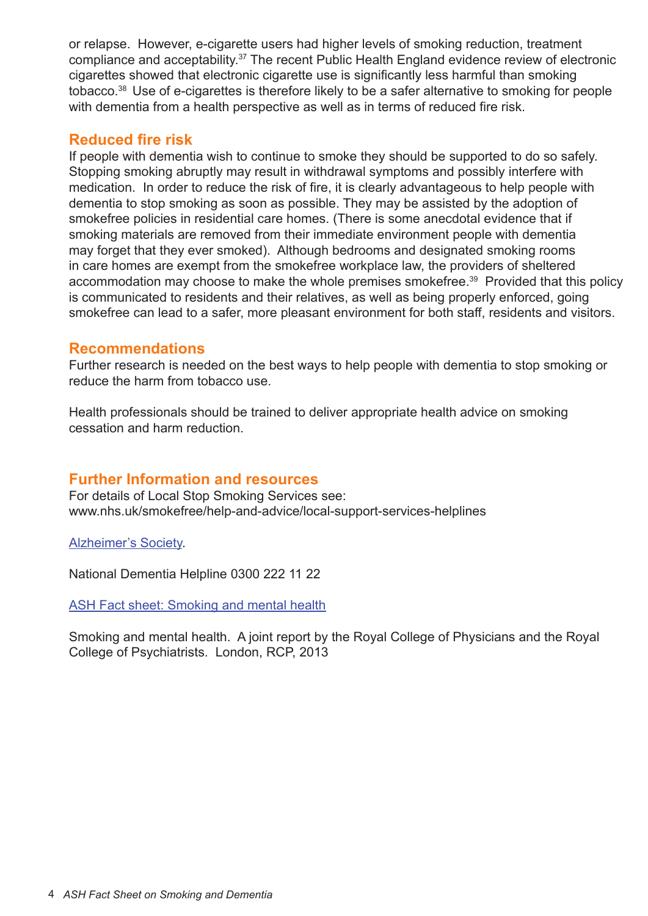or relapse. However, e-cigarette users had higher levels of smoking reduction, treatment compliance and acceptability.<sup>37</sup> The recent Public Health England evidence review of electronic cigarettes showed that electronic cigarette use is significantly less harmful than smoking tobacco.38 Use of e-cigarettes is therefore likely to be a safer alternative to smoking for people with dementia from a health perspective as well as in terms of reduced fire risk.

## **Reduced fire risk**

If people with dementia wish to continue to smoke they should be supported to do so safely. Stopping smoking abruptly may result in withdrawal symptoms and possibly interfere with medication. In order to reduce the risk of fire, it is clearly advantageous to help people with dementia to stop smoking as soon as possible. They may be assisted by the adoption of smokefree policies in residential care homes. (There is some anecdotal evidence that if smoking materials are removed from their immediate environment people with dementia may forget that they ever smoked). Although bedrooms and designated smoking rooms in care homes are exempt from the smokefree workplace law, the providers of sheltered accommodation may choose to make the whole premises smokefree.<sup>39</sup> Provided that this policy is communicated to residents and their relatives, as well as being properly enforced, going smokefree can lead to a safer, more pleasant environment for both staff, residents and visitors.

#### **Recommendations**

Further research is needed on the best ways to help people with dementia to stop smoking or reduce the harm from tobacco use.

Health professionals should be trained to deliver appropriate health advice on smoking cessation and harm reduction.

## **Further Information and resources**

For details of Local Stop Smoking Services see: www.nhs.uk/smokefree/help-and-advice/local-support-services-helplines

[Alzheimer's Society](http://www.alzheimers.org.uk).

National Dementia Helpline 0300 222 11 22

**[ASH Fact sheet: Smoking and mental health](www.ash.org.uk/download/smoking-and-mental-health/)** 

Smoking and mental health. A joint report by the Royal College of Physicians and the Royal College of Psychiatrists. London, RCP, 2013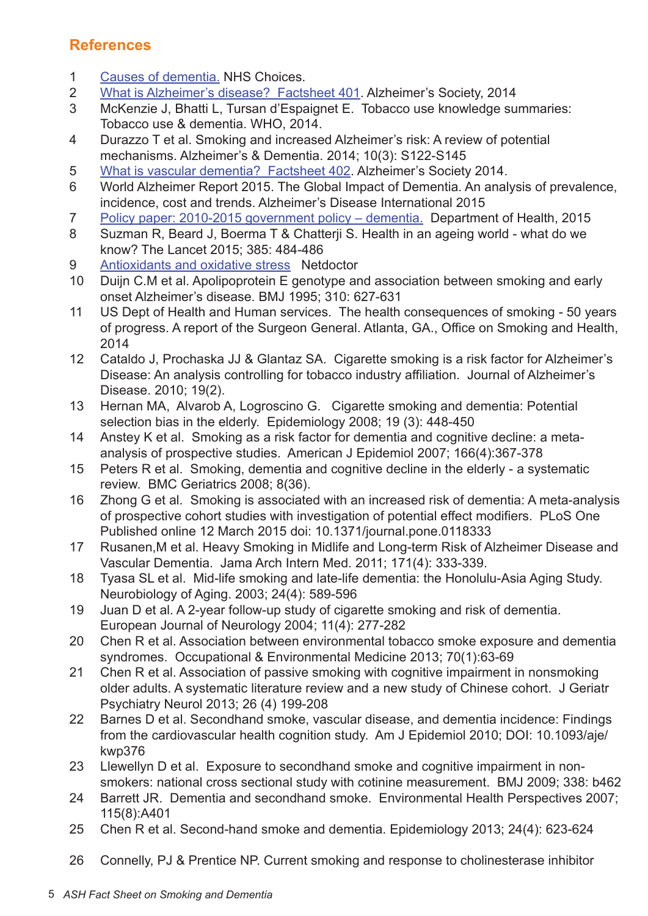## **References**

- 1 [Causes of dementia.](http://www.nhs.uk/conditions/dementia-guide/pages/causes-of-dementia.aspx) NHS Choices.
- 2 [What is Alzheimer's disease? Factsheet 401](http://www.alzheimers.org.uk/site/scripts/documents_info.php?documentID=100). Alzheimer's Society, 2014
- 3 McKenzie J, Bhatti L, Tursan d'Espaignet E. Tobacco use knowledge summaries: Tobacco use & dementia. WHO, 2014.
- 4 Durazzo T et al. Smoking and increased Alzheimer's risk: A review of potential mechanisms. Alzheimer's & Dementia. 2014; 10(3): S122-S145
- 5 [What is vascular dementia? Factsheet 402](http://www.alzheimers.org.uk/site/scripts/documents_info.php?documentID=161). Alzheimer's Society 2014.
- 6 World Alzheimer Report 2015. The Global Impact of Dementia. An analysis of prevalence, incidence, cost and trends. Alzheimer's Disease International 2015
- 7 [Policy paper: 2010-2015 government policy dementia.](https://www.gov.uk/government/publications/2010-to-2015-government-policy-dementia/2010-to-2015-government-policy-dementia) Department of Health, 2015
- 8 Suzman R, Beard J, Boerma T & Chatterji S. Health in an ageing world what do we know? The Lancet 2015; 385: 484-486
- 9 [Antioxidants and oxidative stress](http://www.netdoctor.co.uk/focus/nutrition/facts/oxidative_stress/oxidativestress.htm) Netdoctor
- 10 Duijn C.M et al. Apolipoprotein E genotype and association between smoking and early onset Alzheimer's disease. BMJ 1995; 310: 627-631
- 11 US Dept of Health and Human services. The health consequences of smoking 50 years of progress. A report of the Surgeon General. Atlanta, GA., Office on Smoking and Health, 2014
- 12 Cataldo J, Prochaska JJ & Glantaz SA. Cigarette smoking is a risk factor for Alzheimer's Disease: An analysis controlling for tobacco industry affiliation. Journal of Alzheimer's Disease. 2010; 19(2).
- 13 Hernan MA, Alvarob A, Logroscino G. Cigarette smoking and dementia: Potential selection bias in the elderly. Epidemiology 2008; 19 (3): 448-450
- 14 Anstey K et al. Smoking as a risk factor for dementia and cognitive decline: a metaanalysis of prospective studies. American J Epidemiol 2007; 166(4):367-378
- 15 Peters R et al. Smoking, dementia and cognitive decline in the elderly a systematic review. BMC Geriatrics 2008; 8(36).
- 16 Zhong G et al. Smoking is associated with an increased risk of dementia: A meta-analysis of prospective cohort studies with investigation of potential effect modifiers. PLoS One Published online 12 March 2015 doi: 10.1371/journal.pone.0118333
- 17 Rusanen,M et al. Heavy Smoking in Midlife and Long-term Risk of Alzheimer Disease and Vascular Dementia. Jama Arch Intern Med. 2011; 171(4): 333-339.
- 18 Tyasa SL et al. Mid-life smoking and late-life dementia: the Honolulu-Asia Aging Study. Neurobiology of Aging. 2003; 24(4): 589-596
- 19 Juan D et al. A 2-year follow-up study of cigarette smoking and risk of dementia. European Journal of Neurology 2004; 11(4): 277-282
- 20 Chen R et al. Association between environmental tobacco smoke exposure and dementia syndromes. Occupational & Environmental Medicine 2013; 70(1):63-69
- 21 Chen R et al. Association of passive smoking with cognitive impairment in nonsmoking older adults. A systematic literature review and a new study of Chinese cohort. J Geriatr Psychiatry Neurol 2013; 26 (4) 199-208
- 22 Barnes D et al. Secondhand smoke, vascular disease, and dementia incidence: Findings from the cardiovascular health cognition study. Am J Epidemiol 2010; DOI: 10.1093/aje/ kwp376
- 23 Llewellyn D et al. Exposure to secondhand smoke and cognitive impairment in nonsmokers: national cross sectional study with cotinine measurement. BMJ 2009; 338: b462
- 24 Barrett JR. Dementia and secondhand smoke. Environmental Health Perspectives 2007; 115(8):A401
- 25 Chen R et al. Second-hand smoke and dementia. Epidemiology 2013; 24(4): 623-624
- 26 Connelly, PJ & Prentice NP. Current smoking and response to cholinesterase inhibitor